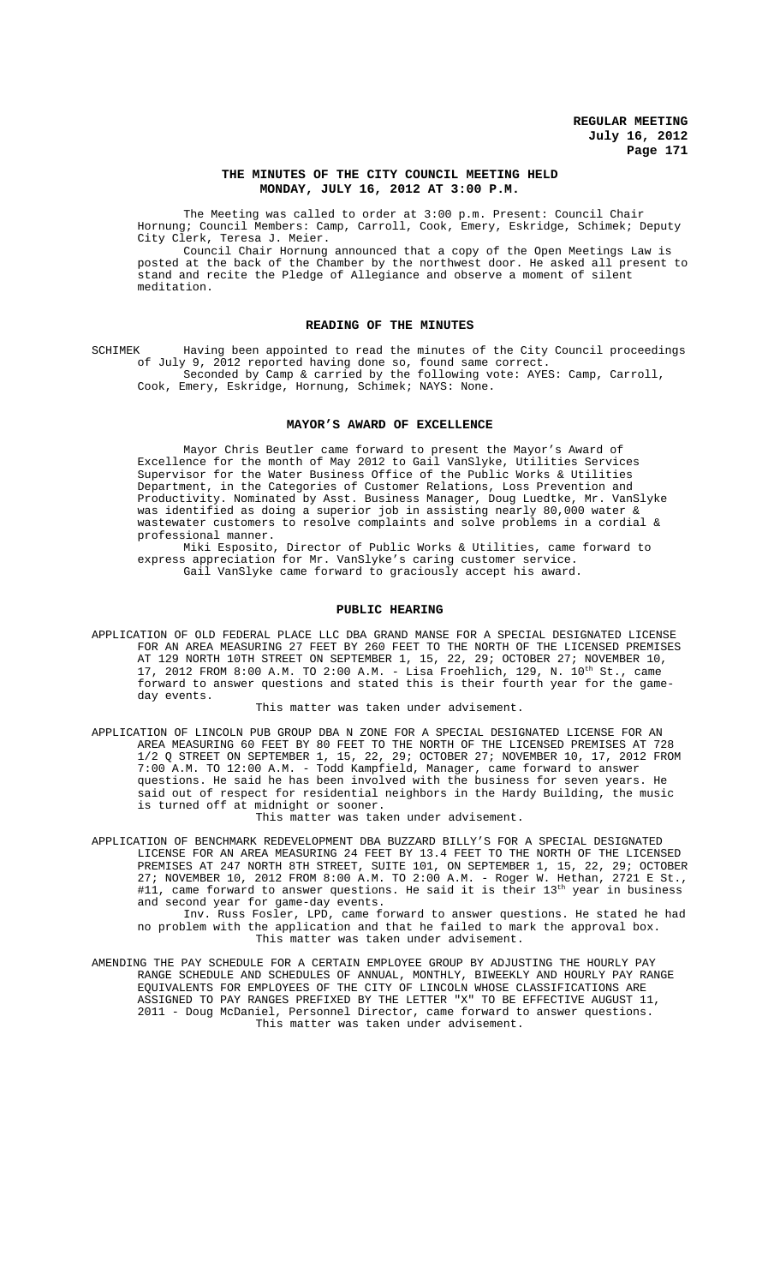### **THE MINUTES OF THE CITY COUNCIL MEETING HELD MONDAY, JULY 16, 2012 AT 3:00 P.M.**

The Meeting was called to order at 3:00 p.m. Present: Council Chair Hornung; Council Members: Camp, Carroll, Cook, Emery, Eskridge, Schimek; Deputy City Clerk, Teresa J. Meier.

Council Chair Hornung announced that a copy of the Open Meetings Law is posted at the back of the Chamber by the northwest door. He asked all present to stand and recite the Pledge of Allegiance and observe a moment of silent meditation.

### **READING OF THE MINUTES**

SCHIMEK Having been appointed to read the minutes of the City Council proceedings of July 9, 2012 reported having done so, found same correct. Seconded by Camp & carried by the following vote: AYES: Camp, Carroll, Cook, Emery, Eskridge, Hornung, Schimek; NAYS: None.

### **MAYOR'S AWARD OF EXCELLENCE**

Mayor Chris Beutler came forward to present the Mayor's Award of Excellence for the month of May 2012 to Gail VanSlyke, Utilities Services Supervisor for the Water Business Office of the Public Works & Utilities Department, in the Categories of Customer Relations, Loss Prevention and Productivity. Nominated by Asst. Business Manager, Doug Luedtke, Mr. VanSlyke was identified as doing a superior job in assisting nearly 80,000 water & wastewater customers to resolve complaints and solve problems in a cordial & professional manner.

Miki Esposito, Director of Public Works & Utilities, came forward to express appreciation for Mr. VanSlyke's caring customer service. Gail VanSlyke came forward to graciously accept his award.

### **PUBLIC HEARING**

APPLICATION OF OLD FEDERAL PLACE LLC DBA GRAND MANSE FOR A SPECIAL DESIGNATED LICENSE FOR AN AREA MEASURING 27 FEET BY 260 FEET TO THE NORTH OF THE LICENSED PREMISES AT 129 NORTH 10TH STREET ON SEPTEMBER 1, 15, 22, 29; OCTOBER 27; NOVEMBER 10, 17, 2012 FROM 8:00 A.M. TO 2:00 A.M. - Lisa Froehlich, 129, N. 10th St., came forward to answer questions and stated this is their fourth year for the gameday events.

This matter was taken under advisement.

APPLICATION OF LINCOLN PUB GROUP DBA N ZONE FOR A SPECIAL DESIGNATED LICENSE FOR AN AREA MEASURING 60 FEET BY 80 FEET TO THE NORTH OF THE LICENSED PREMISES AT 728 1/2 Q STREET ON SEPTEMBER 1, 15, 22, 29; OCTOBER 27; NOVEMBER 10, 17, 2012 FROM 7:00 A.M. TO 12:00 A.M. - Todd Kampfield, Manager, came forward to answer questions. He said he has been involved with the business for seven years. He said out of respect for residential neighbors in the Hardy Building, the music is turned off at midnight or sooner.

This matter was taken under advisement.

APPLICATION OF BENCHMARK REDEVELOPMENT DBA BUZZARD BILLY'S FOR A SPECIAL DESIGNATED LICENSE FOR AN AREA MEASURING 24 FEET BY 13.4 FEET TO THE NORTH OF THE LICENSED PREMISES AT 247 NORTH 8TH STREET, SUITE 101, ON SEPTEMBER 1, 15, 22, 29; OCTOBER 27; NOVEMBER 10, 2012 FROM 8:00 A.M. TO 2:00 A.M. - Roger W. Hethan, 2721 E St., #11, came forward to answer questions. He said it is their  $13^{\text{th}}$  year in business and second year for game-day events.

Inv. Russ Fosler, LPD, came forward to answer questions. He stated he had no problem with the application and that he failed to mark the approval box. This matter was taken under advisement.

AMENDING THE PAY SCHEDULE FOR A CERTAIN EMPLOYEE GROUP BY ADJUSTING THE HOURLY PAY RANGE SCHEDULE AND SCHEDULES OF ANNUAL, MONTHLY, BIWEEKLY AND HOURLY PAY RANGE EQUIVALENTS FOR EMPLOYEES OF THE CITY OF LINCOLN WHOSE CLASSIFICATIONS ARE ASSIGNED TO PAY RANGES PREFIXED BY THE LETTER "X" TO BE EFFECTIVE AUGUST 11, 2011 - Doug McDaniel, Personnel Director, came forward to answer questions. This matter was taken under advisement.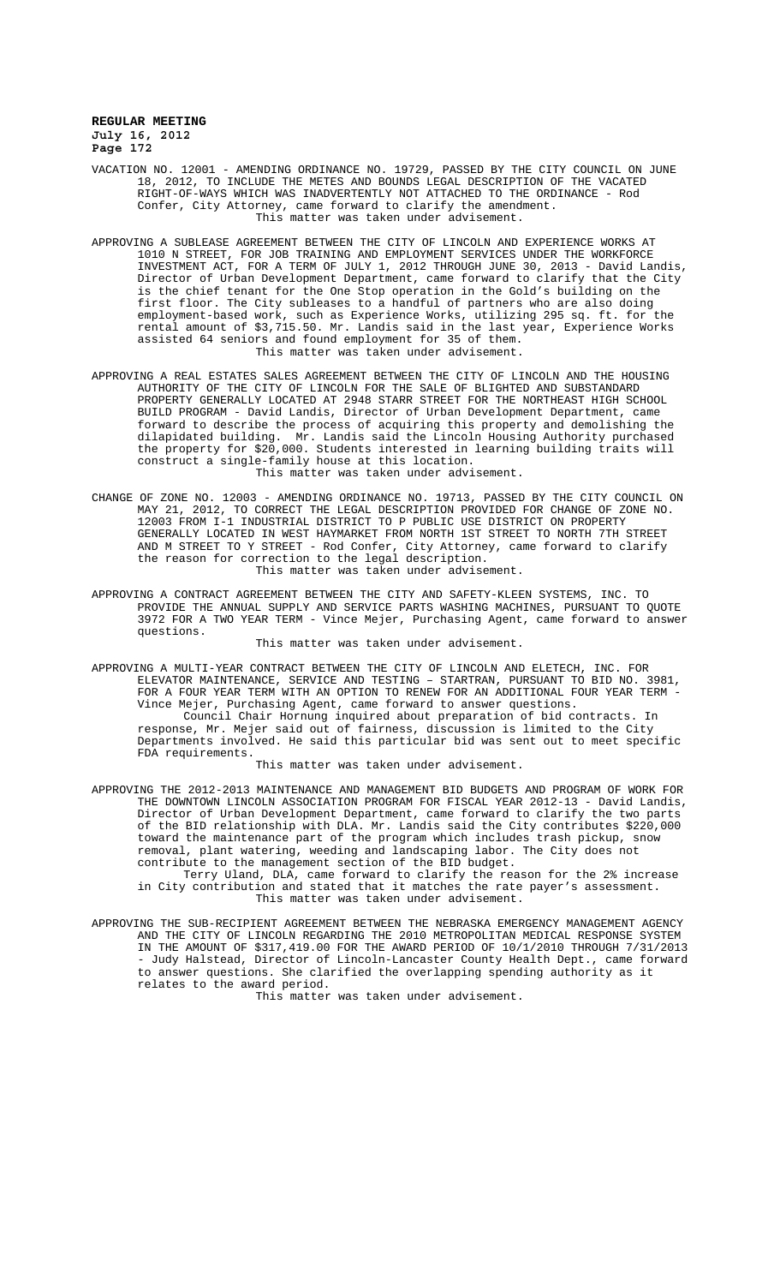VACATION NO. 12001 - AMENDING ORDINANCE NO. 19729, PASSED BY THE CITY COUNCIL ON JUNE 18, 2012, TO INCLUDE THE METES AND BOUNDS LEGAL DESCRIPTION OF THE VACATED RIGHT-OF-WAYS WHICH WAS INADVERTENTLY NOT ATTACHED TO THE ORDINANCE - Rod Confer, City Attorney, came forward to clarify the amendment. This matter was taken under advisement.

- APPROVING A SUBLEASE AGREEMENT BETWEEN THE CITY OF LINCOLN AND EXPERIENCE WORKS AT 1010 N STREET, FOR JOB TRAINING AND EMPLOYMENT SERVICES UNDER THE WORKFORCE INVESTMENT ACT, FOR A TERM OF JULY 1, 2012 THROUGH JUNE 30, 2013 - David Landis, Director of Urban Development Department, came forward to clarify that the City is the chief tenant for the One Stop operation in the Gold's building on the first floor. The City subleases to a handful of partners who are also doing employment-based work, such as Experience Works, utilizing 295 sq. ft. for the rental amount of \$3,715.50. Mr. Landis said in the last year, Experience Works assisted 64 seniors and found employment for 35 of them. This matter was taken under advisement.
- APPROVING A REAL ESTATES SALES AGREEMENT BETWEEN THE CITY OF LINCOLN AND THE HOUSING AUTHORITY OF THE CITY OF LINCOLN FOR THE SALE OF BLIGHTED AND SUBSTANDARD PROPERTY GENERALLY LOCATED AT 2948 STARR STREET FOR THE NORTHEAST HIGH SCHOOL BUILD PROGRAM - David Landis, Director of Urban Development Department, came forward to describe the process of acquiring this property and demolishing the dilapidated building. Mr. Landis said the Lincoln Housing Authority purchased the property for \$20,000. Students interested in learning building traits will construct a single-family house at this location. This matter was taken under advisement.
- CHANGE OF ZONE NO. 12003 AMENDING ORDINANCE NO. 19713, PASSED BY THE CITY COUNCIL ON MAY 21, 2012, TO CORRECT THE LEGAL DESCRIPTION PROVIDED FOR CHANGE OF ZONE NO. 12003 FROM I-1 INDUSTRIAL DISTRICT TO P PUBLIC USE DISTRICT ON PROPERTY GENERALLY LOCATED IN WEST HAYMARKET FROM NORTH 1ST STREET TO NORTH 7TH STREET AND M STREET TO Y STREET - Rod Confer, City Attorney, came forward to clarify the reason for correction to the legal description. This matter was taken under advisement.
- APPROVING A CONTRACT AGREEMENT BETWEEN THE CITY AND SAFETY-KLEEN SYSTEMS, INC. TO PROVIDE THE ANNUAL SUPPLY AND SERVICE PARTS WASHING MACHINES, PURSUANT TO QUOTE 3972 FOR A TWO YEAR TERM - Vince Mejer, Purchasing Agent, came forward to answer questions.

This matter was taken under advisement.

APPROVING A MULTI-YEAR CONTRACT BETWEEN THE CITY OF LINCOLN AND ELETECH, INC. FOR ELEVATOR MAINTENANCE, SERVICE AND TESTING – STARTRAN, PURSUANT TO BID NO. 3981, FOR A FOUR YEAR TERM WITH AN OPTION TO RENEW FOR AN ADDITIONAL FOUR YEAR TERM - Vince Mejer, Purchasing Agent, came forward to answer questions. Council Chair Hornung inquired about preparation of bid contracts. In response, Mr. Mejer said out of fairness, discussion is limited to the City Departments involved. He said this particular bid was sent out to meet specific FDA requirements.

This matter was taken under advisement.

APPROVING THE 2012-2013 MAINTENANCE AND MANAGEMENT BID BUDGETS AND PROGRAM OF WORK FOR THE DOWNTOWN LINCOLN ASSOCIATION PROGRAM FOR FISCAL YEAR 2012-13 - David Landis, Director of Urban Development Department, came forward to clarify the two parts of the BID relationship with DLA. Mr. Landis said the City contributes \$220,000 toward the maintenance part of the program which includes trash pickup, snow removal, plant watering, weeding and landscaping labor. The City does not contribute to the management section of the BID budget.

Terry Uland, DLA, came forward to clarify the reason for the 2% increase in City contribution and stated that it matches the rate payer's assessment. This matter was taken under advisement.

APPROVING THE SUB-RECIPIENT AGREEMENT BETWEEN THE NEBRASKA EMERGENCY MANAGEMENT AGENCY AND THE CITY OF LINCOLN REGARDING THE 2010 METROPOLITAN MEDICAL RESPONSE SYSTEM IN THE AMOUNT OF \$317,419.00 FOR THE AWARD PERIOD OF 10/1/2010 THROUGH 7/31/2013 - Judy Halstead, Director of Lincoln-Lancaster County Health Dept., came forward to answer questions. She clarified the overlapping spending authority as it relates to the award period.

This matter was taken under advisement.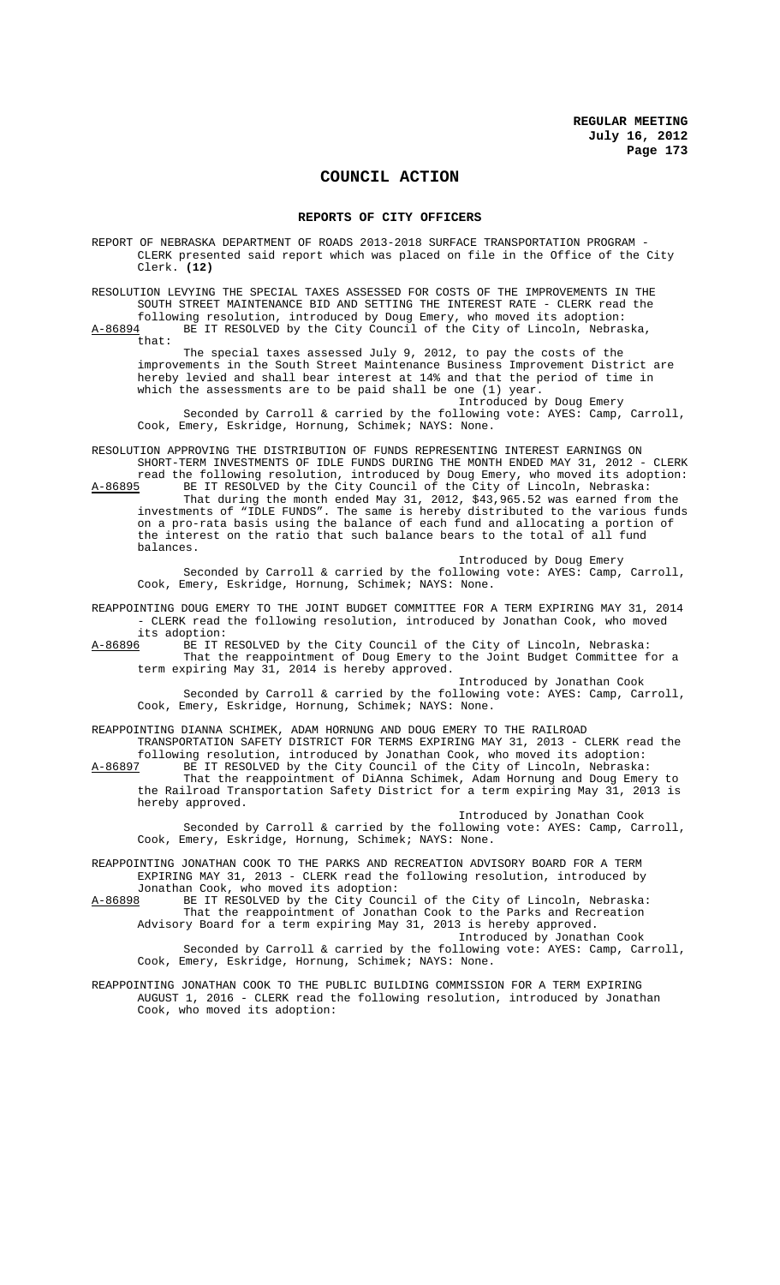## **COUNCIL ACTION**

### **REPORTS OF CITY OFFICERS**

REPORT OF NEBRASKA DEPARTMENT OF ROADS 2013-2018 SURFACE TRANSPORTATION PROGRAM - CLERK presented said report which was placed on file in the Office of the City Clerk. **(12)**

RESOLUTION LEVYING THE SPECIAL TAXES ASSESSED FOR COSTS OF THE IMPROVEMENTS IN THE SOUTH STREET MAINTENANCE BID AND SETTING THE INTEREST RATE - CLERK read the

following resolution, introduced by Doug Emery, who moved its adoption: BE IT RESOLVED by the City Council of the City of Lincoln, Nebraska, that:

The special taxes assessed July 9, 2012, to pay the costs of the improvements in the South Street Maintenance Business Improvement District are hereby levied and shall bear interest at 14% and that the period of time in which the assessments are to be paid shall be one (1) year.

Introduced by Doug Emery Seconded by Carroll & carried by the following vote: AYES: Camp, Carroll, Cook, Emery, Eskridge, Hornung, Schimek; NAYS: None.

RESOLUTION APPROVING THE DISTRIBUTION OF FUNDS REPRESENTING INTEREST EARNINGS ON SHORT-TERM INVESTMENTS OF IDLE FUNDS DURING THE MONTH ENDED MAY 31, 2012 - CLERK read the following resolution, introduced by Doug Emery, who moved its adoption:

A-86895 BE IT RESOLVED by the City Council of the City of Lincoln, Nebraska: That during the month ended May 31, 2012, \$43,965.52 was earned from the investments of "IDLE FUNDS". The same is hereby distributed to the various funds on a pro-rata basis using the balance of each fund and allocating a portion of the interest on the ratio that such balance bears to the total of all fund balances.

Introduced by Doug Emery Seconded by Carroll & carried by the following vote: AYES: Camp, Carroll, Cook, Emery, Eskridge, Hornung, Schimek; NAYS: None.

REAPPOINTING DOUG EMERY TO THE JOINT BUDGET COMMITTEE FOR A TERM EXPIRING MAY 31, 2014 - CLERK read the following resolution, introduced by Jonathan Cook, who moved

its adoption:<br><u>A-86896</u> BE IT F A-86896 BE IT RESOLVED by the City Council of the City of Lincoln, Nebraska: That the reappointment of Doug Emery to the Joint Budget Committee for a term expiring May 31, 2014 is hereby approved.

Introduced by Jonathan Cook Seconded by Carroll & carried by the following vote: AYES: Camp, Carroll, Cook, Emery, Eskridge, Hornung, Schimek; NAYS: None.

REAPPOINTING DIANNA SCHIMEK, ADAM HORNUNG AND DOUG EMERY TO THE RAILROAD TRANSPORTATION SAFETY DISTRICT FOR TERMS EXPIRING MAY 31, 2013 - CLERK read the

following resolution, introduced by Jonathan Cook, who moved its adoption: BE IT RESOLVED by the City Council of the City of Lincoln, Nebraska: That the reappointment of DiAnna Schimek, Adam Hornung and Doug Emery to the Railroad Transportation Safety District for a term expiring May 31, 2013 is hereby approved.

Introduced by Jonathan Cook Seconded by Carroll & carried by the following vote: AYES: Camp, Carroll, Cook, Emery, Eskridge, Hornung, Schimek; NAYS: None.

REAPPOINTING JONATHAN COOK TO THE PARKS AND RECREATION ADVISORY BOARD FOR A TERM EXPIRING MAY 31, 2013 - CLERK read the following resolution, introduced by Jonathan Cook, who moved its adoption:<br>A-86898 BE IT RESOLVED by the City Counc

A-86898 BE IT RESOLVED by the City Council of the City of Lincoln, Nebraska: That the reappointment of Jonathan Cook to the Parks and Recreation Advisory Board for a term expiring May 31, 2013 is hereby approved. Introduced by Jonathan Cook

Seconded by Carroll & carried by the following vote: AYES: Camp, Carroll, Cook, Emery, Eskridge, Hornung, Schimek; NAYS: None.

REAPPOINTING JONATHAN COOK TO THE PUBLIC BUILDING COMMISSION FOR A TERM EXPIRING AUGUST 1, 2016 - CLERK read the following resolution, introduced by Jonathan Cook, who moved its adoption: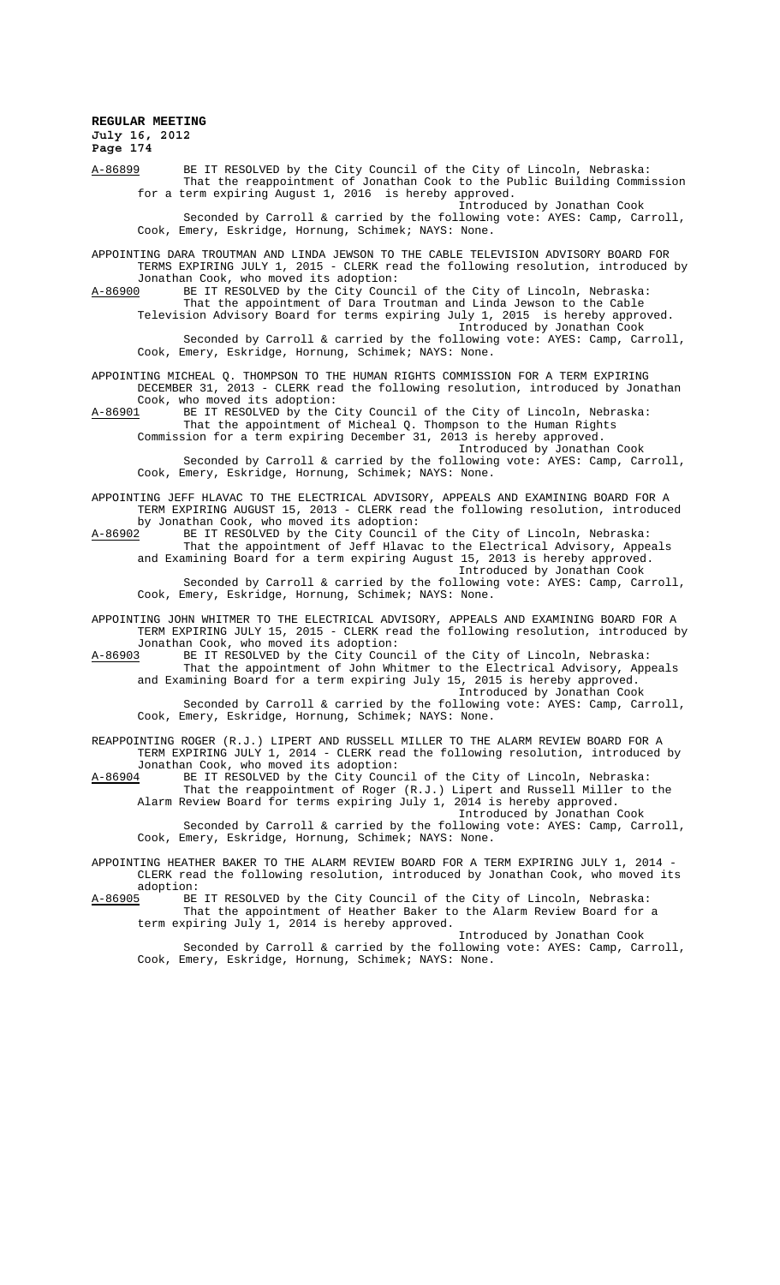A-86899 BE IT RESOLVED by the City Council of the City of Lincoln, Nebraska: That the reappointment of Jonathan Cook to the Public Building Commission for a term expiring August 1, 2016 is hereby approved. Introduced by Jonathan Cook

Seconded by Carroll & carried by the following vote: AYES: Camp, Carroll, Cook, Emery, Eskridge, Hornung, Schimek; NAYS: None.

APPOINTING DARA TROUTMAN AND LINDA JEWSON TO THE CABLE TELEVISION ADVISORY BOARD FOR TERMS EXPIRING JULY 1, 2015 - CLERK read the following resolution, introduced by Jonathan Cook, who moved its adoption:<br>A-86900 BE IT RESOLVED by the City Counc

BE IT RESOLVED by the City Council of the City of Lincoln, Nebraska: That the appointment of Dara Troutman and Linda Jewson to the Cable

Television Advisory Board for terms expiring July 1, 2015 is hereby approved. Introduced by Jonathan Cook

Seconded by Carroll & carried by the following vote: AYES: Camp, Carroll, Cook, Emery, Eskridge, Hornung, Schimek; NAYS: None.

APPOINTING MICHEAL Q. THOMPSON TO THE HUMAN RIGHTS COMMISSION FOR A TERM EXPIRING DECEMBER 31, 2013 - CLERK read the following resolution, introduced by Jonathan

Cook, who moved its adoption:<br>A-86901 BE IT RESOLVED by the O A-86901 BE IT RESOLVED by the City Council of the City of Lincoln, Nebraska: That the appointment of Micheal Q. Thompson to the Human Rights Commission for a term expiring December 31, 2013 is hereby approved.

Introduced by Jonathan Cook Seconded by Carroll & carried by the following vote: AYES: Camp, Carroll,

Cook, Emery, Eskridge, Hornung, Schimek; NAYS: None.

APPOINTING JEFF HLAVAC TO THE ELECTRICAL ADVISORY, APPEALS AND EXAMINING BOARD FOR A TERM EXPIRING AUGUST 15, 2013 - CLERK read the following resolution, introduced by Jonathan Cook, who moved its adoption:<br>A-86902 BE IT RESOLVED by the City Council

A-86902 BE IT RESOLVED by the City Council of the City of Lincoln, Nebraska: That the appointment of Jeff Hlavac to the Electrical Advisory, Appeals and Examining Board for a term expiring August 15, 2013 is hereby approved. Introduced by Jonathan Cook

Seconded by Carroll & carried by the following vote: AYES: Camp, Carroll, Cook, Emery, Eskridge, Hornung, Schimek; NAYS: None.

APPOINTING JOHN WHITMER TO THE ELECTRICAL ADVISORY, APPEALS AND EXAMINING BOARD FOR A TERM EXPIRING JULY 15, 2015 - CLERK read the following resolution, introduced by Jonathan Cook, who moved its adoption:<br>A-86903 BE IT RESOLVED by the City Cound

BE IT RESOLVED by the City Council of the City of Lincoln, Nebraska: That the appointment of John Whitmer to the Electrical Advisory, Appeals and Examining Board for a term expiring July 15, 2015 is hereby approved.

Introduced by Jonathan Cook Seconded by Carroll & carried by the following vote: AYES: Camp, Carroll, Cook, Emery, Eskridge, Hornung, Schimek; NAYS: None.

REAPPOINTING ROGER (R.J.) LIPERT AND RUSSELL MILLER TO THE ALARM REVIEW BOARD FOR A TERM EXPIRING JULY 1, 2014 - CLERK read the following resolution, introduced by

Jonathan Cook, who moved its adoption:<br>A-86904 BE IT RESOLVED by the City Counc A-86904 BE IT RESOLVED by the City Council of the City of Lincoln, Nebraska: That the reappointment of Roger (R.J.) Lipert and Russell Miller to the Alarm Review Board for terms expiring July 1, 2014 is hereby approved. Introduced by Jonathan Cook

Seconded by Carroll & carried by the following vote: AYES: Camp, Carroll, Cook, Emery, Eskridge, Hornung, Schimek; NAYS: None.

APPOINTING HEATHER BAKER TO THE ALARM REVIEW BOARD FOR A TERM EXPIRING JULY 1, 2014 - CLERK read the following resolution, introduced by Jonathan Cook, who moved its

adoption:<br><u>A-86905</u> BE BE IT RESOLVED by the City Council of the City of Lincoln, Nebraska: That the appointment of Heather Baker to the Alarm Review Board for a term expiring July 1, 2014 is hereby approved.

Introduced by Jonathan Cook Seconded by Carroll & carried by the following vote: AYES: Camp, Carroll, Cook, Emery, Eskridge, Hornung, Schimek; NAYS: None.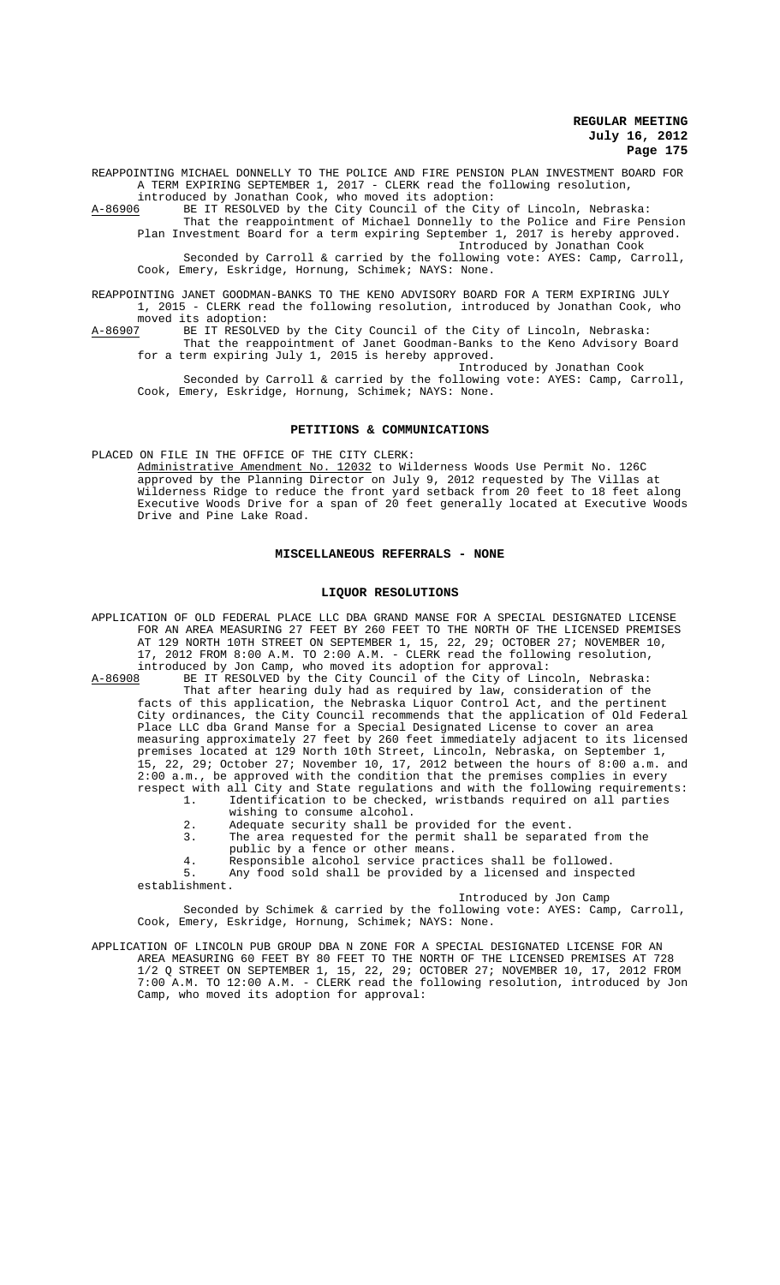REAPPOINTING MICHAEL DONNELLY TO THE POLICE AND FIRE PENSION PLAN INVESTMENT BOARD FOR A TERM EXPIRING SEPTEMBER 1, 2017 - CLERK read the following resolution,

introduced by Jonathan Cook, who moved its adoption: A-86906 BE IT RESOLVED by the City Council of the City of Lincoln, Nebraska: That the reappointment of Michael Donnelly to the Police and Fire Pension

Plan Investment Board for a term expiring September 1, 2017 is hereby approved. Introduced by Jonathan Cook Seconded by Carroll & carried by the following vote: AYES: Camp, Carroll,

Cook, Emery, Eskridge, Hornung, Schimek; NAYS: None.

REAPPOINTING JANET GOODMAN-BANKS TO THE KENO ADVISORY BOARD FOR A TERM EXPIRING JULY 1, 2015 - CLERK read the following resolution, introduced by Jonathan Cook, who

moved its adoption:<br>A-86907 BE IT RESOLVI A-86907 BE IT RESOLVED by the City Council of the City of Lincoln, Nebraska: That the reappointment of Janet Goodman-Banks to the Keno Advisory Board for a term expiring July 1, 2015 is hereby approved.

Introduced by Jonathan Cook Seconded by Carroll & carried by the following vote: AYES: Camp, Carroll, Cook, Emery, Eskridge, Hornung, Schimek; NAYS: None.

### **PETITIONS & COMMUNICATIONS**

PLACED ON FILE IN THE OFFICE OF THE CITY CLERK:

Administrative Amendment No. 12032 to Wilderness Woods Use Permit No. 126C approved by the Planning Director on July 9, 2012 requested by The Villas at Wilderness Ridge to reduce the front yard setback from 20 feet to 18 feet along Executive Woods Drive for a span of 20 feet generally located at Executive Woods Drive and Pine Lake Road.

### **MISCELLANEOUS REFERRALS - NONE**

### **LIQUOR RESOLUTIONS**

APPLICATION OF OLD FEDERAL PLACE LLC DBA GRAND MANSE FOR A SPECIAL DESIGNATED LICENSE FOR AN AREA MEASURING 27 FEET BY 260 FEET TO THE NORTH OF THE LICENSED PREMISES AT 129 NORTH 10TH STREET ON SEPTEMBER 1, 15, 22, 29; OCTOBER 27; NOVEMBER 10, 17, 2012 FROM 8:00 A.M. TO 2:00 A.M. - CLERK read the following resolution, introduced by Jon Camp, who moved its adoption for approval:<br>A-86908 BE IT RESOLVED by the City Council of the City of Linc

A-86908 BE IT RESOLVED by the City Council of the City of Lincoln, Nebraska: That after hearing duly had as required by law, consideration of the facts of this application, the Nebraska Liquor Control Act, and the pertinent City ordinances, the City Council recommends that the application of Old Federal Place LLC dba Grand Manse for a Special Designated License to cover an area measuring approximately 27 feet by 260 feet immediately adjacent to its licensed premises located at 129 North 10th Street, Lincoln, Nebraska, on September 1, 15, 22, 29; October 27; November 10, 17, 2012 between the hours of 8:00 a.m. and 2:00 a.m., be approved with the condition that the premises complies in every respect with all City and State regulations and with the following requirements:

- 1. Identification to be checked, wristbands required on all parties wishing to consume alcohol.
- 2. Adequate security shall be provided for the event.
- 3. The area requested for the permit shall be separated from the public by a fence or other means.
	-
- 4. Responsible alcohol service practices shall be followed.<br>5 any food sold shall be provided by a licensed and inspec Any food sold shall be provided by a licensed and inspected

establishment.

## Introduced by Jon Camp

Seconded by Schimek & carried by the following vote: AYES: Camp, Carroll, Cook, Emery, Eskridge, Hornung, Schimek; NAYS: None.

APPLICATION OF LINCOLN PUB GROUP DBA N ZONE FOR A SPECIAL DESIGNATED LICENSE FOR AN AREA MEASURING 60 FEET BY 80 FEET TO THE NORTH OF THE LICENSED PREMISES AT 728 1/2 Q STREET ON SEPTEMBER 1, 15, 22, 29; OCTOBER 27; NOVEMBER 10, 17, 2012 FROM 7:00 A.M. TO 12:00 A.M. - CLERK read the following resolution, introduced by Jon Camp, who moved its adoption for approval: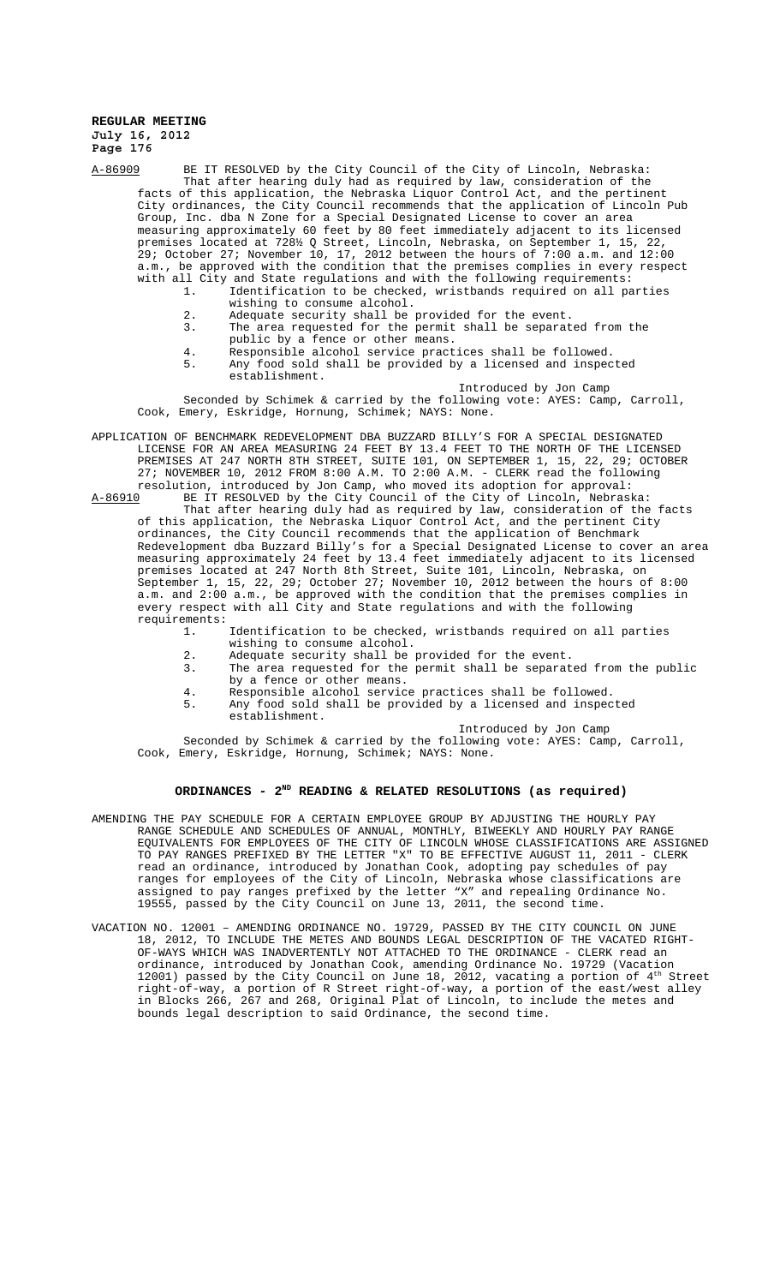A-86909 BE IT RESOLVED by the City Council of the City of Lincoln, Nebraska: That after hearing duly had as required by law, consideration of the facts of this application, the Nebraska Liquor Control Act, and the pertinent City ordinances, the City Council recommends that the application of Lincoln Pub Group, Inc. dba N Zone for a Special Designated License to cover an area measuring approximately 60 feet by 80 feet immediately adjacent to its licensed premises located at 728½ Q Street, Lincoln, Nebraska, on September 1, 15, 22, 29; October 27; November 10, 17, 2012 between the hours of 7:00 a.m. and 12:00 a.m., be approved with the condition that the premises complies in every respect with all City and State regulations and with the following requirements:

- 1. Identification to be checked, wristbands required on all parties wishing to consume alcohol.
- 2. Adequate security shall be provided for the event.
- 3. The area requested for the permit shall be separated from the public by a fence or other means.
- 4. Responsible alcohol service practices shall be followed.<br>5. Any food sold shall be provided by a licensed and inspec Any food sold shall be provided by a licensed and inspected
	- establishment.

Introduced by Jon Camp

Seconded by Schimek & carried by the following vote: AYES: Camp, Carroll, Cook, Emery, Eskridge, Hornung, Schimek; NAYS: None.

APPLICATION OF BENCHMARK REDEVELOPMENT DBA BUZZARD BILLY'S FOR A SPECIAL DESIGNATED LICENSE FOR AN AREA MEASURING 24 FEET BY 13.4 FEET TO THE NORTH OF THE LICENSED PREMISES AT 247 NORTH 8TH STREET, SUITE 101, ON SEPTEMBER 1, 15, 22, 29; OCTOBER 27; NOVEMBER 10, 2012 FROM 8:00 A.M. TO 2:00 A.M. - CLERK read the following resolution, introduced by Jon Camp, who moved its adoption for approval:

A-86910 BE IT RESOLVED by the City Council of the City of Lincoln, Nebraska: That after hearing duly had as required by law, consideration of the facts of this application, the Nebraska Liquor Control Act, and the pertinent City ordinances, the City Council recommends that the application of Benchmark Redevelopment dba Buzzard Billy's for a Special Designated License to cover an area measuring approximately 24 feet by 13.4 feet immediately adjacent to its licensed premises located at 247 North 8th Street, Suite 101, Lincoln, Nebraska, on September 1, 15, 22, 29; October 27; November 10, 2012 between the hours of 8:00 a.m. and 2:00 a.m., be approved with the condition that the premises complies in every respect with all City and State regulations and with the following requirements:

1. Identification to be checked, wristbands required on all parties wishing to consume alcohol.

- 
- 2. Adequate security shall be provided for the event.<br>3. The area requested for the permit shall be separat The area requested for the permit shall be separated from the public by a fence or other means.
- 
- 4. Responsible alcohol service practices shall be followed.<br>5. Any food sold shall be provided by a licensed and inspec Any food sold shall be provided by a licensed and inspected establishment.

Introduced by Jon Camp

Seconded by Schimek & carried by the following vote: AYES: Camp, Carroll, Cook, Emery, Eskridge, Hornung, Schimek; NAYS: None.

### **ORDINANCES - 2ND READING & RELATED RESOLUTIONS (as required)**

- AMENDING THE PAY SCHEDULE FOR A CERTAIN EMPLOYEE GROUP BY ADJUSTING THE HOURLY PAY RANGE SCHEDULE AND SCHEDULES OF ANNUAL, MONTHLY, BIWEEKLY AND HOURLY PAY RANGE EQUIVALENTS FOR EMPLOYEES OF THE CITY OF LINCOLN WHOSE CLASSIFICATIONS ARE ASSIGNED TO PAY RANGES PREFIXED BY THE LETTER "X" TO BE EFFECTIVE AUGUST 11, 2011 - CLERK read an ordinance, introduced by Jonathan Cook, adopting pay schedules of pay ranges for employees of the City of Lincoln, Nebraska whose classifications are assigned to pay ranges prefixed by the letter "X" and repealing Ordinance No. 19555, passed by the City Council on June 13, 2011, the second time.
- VACATION NO. 12001 AMENDING ORDINANCE NO. 19729, PASSED BY THE CITY COUNCIL ON JUNE 18, 2012, TO INCLUDE THE METES AND BOUNDS LEGAL DESCRIPTION OF THE VACATED RIGHT-OF-WAYS WHICH WAS INADVERTENTLY NOT ATTACHED TO THE ORDINANCE - CLERK read an ordinance, introduced by Jonathan Cook, amending Ordinance No. 19729 (Vacation 12001) passed by the City Council on June 18, 2012, vacating a portion of  $4^{\text{th}}$  Street right-of-way, a portion of R Street right-of-way, a portion of the east/west alley in Blocks 266, 267 and 268, Original Plat of Lincoln, to include the metes and bounds legal description to said Ordinance, the second time.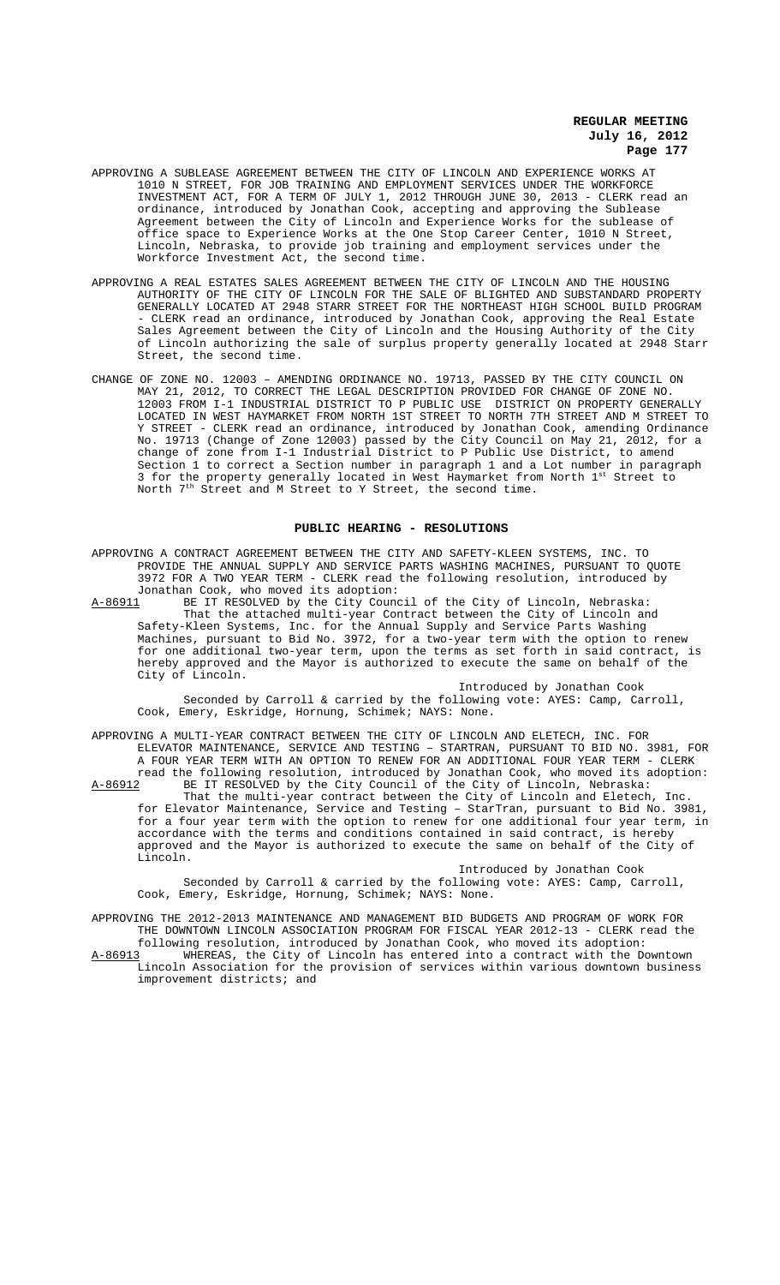- APPROVING A SUBLEASE AGREEMENT BETWEEN THE CITY OF LINCOLN AND EXPERIENCE WORKS AT 1010 N STREET, FOR JOB TRAINING AND EMPLOYMENT SERVICES UNDER THE WORKFORCE<br>INVESTMENT ACT, FOR A TERM OF JULY 1, 2012 THROUGH JUNE 30, 2013 - CLERK read an INVESTMENT ACT, FOR A TERM OF JULY 1, 2012 THROUGH JUNE 30, 2013 ordinance, introduced by Jonathan Cook, accepting and approving the Sublease Agreement between the City of Lincoln and Experience Works for the sublease of office space to Experience Works at the One Stop Career Center, 1010 N Street, Lincoln, Nebraska, to provide job training and employment services under the Workforce Investment Act, the second time.
- APPROVING A REAL ESTATES SALES AGREEMENT BETWEEN THE CITY OF LINCOLN AND THE HOUSING AUTHORITY OF THE CITY OF LINCOLN FOR THE SALE OF BLIGHTED AND SUBSTANDARD PROPERTY GENERALLY LOCATED AT 2948 STARR STREET FOR THE NORTHEAST HIGH SCHOOL BUILD PROGRAM - CLERK read an ordinance, introduced by Jonathan Cook, approving the Real Estate Sales Agreement between the City of Lincoln and the Housing Authority of the City of Lincoln authorizing the sale of surplus property generally located at 2948 Starr Street, the second time.
- CHANGE OF ZONE NO. 12003 AMENDING ORDINANCE NO. 19713, PASSED BY THE CITY COUNCIL ON MAY 21, 2012, TO CORRECT THE LEGAL DESCRIPTION PROVIDED FOR CHANGE OF ZONE NO. 12003 FROM I-1 INDUSTRIAL DISTRICT TO P PUBLIC USE DISTRICT ON PROPERTY GENERALLY LOCATED IN WEST HAYMARKET FROM NORTH 1ST STREET TO NORTH 7TH STREET AND M STREET TO Y STREET - CLERK read an ordinance, introduced by Jonathan Cook, amending Ordinance No. 19713 (Change of Zone 12003) passed by the City Council on May 21, 2012, for a change of zone from I-1 Industrial District to P Public Use District, to amend Section 1 to correct a Section number in paragraph 1 and a Lot number in paragraph 3 for the property generally located in West Haymarket from North 1st Street to North 7<sup>th</sup> Street and M Street to Y Street, the second time.

### **PUBLIC HEARING - RESOLUTIONS**

APPROVING A CONTRACT AGREEMENT BETWEEN THE CITY AND SAFETY-KLEEN SYSTEMS, INC. TO PROVIDE THE ANNUAL SUPPLY AND SERVICE PARTS WASHING MACHINES, PURSUANT TO QUOTE 3972 FOR A TWO YEAR TERM - CLERK read the following resolution, introduced by Jonathan Cook, who moved its adoption:<br>A-86911 BE IT RESOLVED by the City Cound

BE IT RESOLVED by the City Council of the City of Lincoln, Nebraska: That the attached multi-year Contract between the City of Lincoln and Safety-Kleen Systems, Inc. for the Annual Supply and Service Parts Washing Machines, pursuant to Bid No. 3972, for a two-year term with the option to renew for one additional two-year term, upon the terms as set forth in said contract, is hereby approved and the Mayor is authorized to execute the same on behalf of the City of Lincoln.

Introduced by Jonathan Cook Seconded by Carroll & carried by the following vote: AYES: Camp, Carroll, Cook, Emery, Eskridge, Hornung, Schimek; NAYS: None.

APPROVING A MULTI-YEAR CONTRACT BETWEEN THE CITY OF LINCOLN AND ELETECH, INC. FOR ELEVATOR MAINTENANCE, SERVICE AND TESTING – STARTRAN, PURSUANT TO BID NO. 3981, FOR A FOUR YEAR TERM WITH AN OPTION TO RENEW FOR AN ADDITIONAL FOUR YEAR TERM - CLERK read the following resolution, introduced by Jonathan Cook, who moved its adoption: A-86912 BE IT RESOLVED by the City Council of the City of Lincoln, Nebraska: That the multi-year contract between the City of Lincoln and Eletech, Inc. for Elevator Maintenance, Service and Testing – StarTran, pursuant to Bid No. 3981, for a four year term with the option to renew for one additional four year term, in accordance with the terms and conditions contained in said contract, is hereby approved and the Mayor is authorized to execute the same on behalf of the City of Lincoln.

Introduced by Jonathan Cook Seconded by Carroll & carried by the following vote: AYES: Camp, Carroll, Cook, Emery, Eskridge, Hornung, Schimek; NAYS: None.

APPROVING THE 2012-2013 MAINTENANCE AND MANAGEMENT BID BUDGETS AND PROGRAM OF WORK FOR THE DOWNTOWN LINCOLN ASSOCIATION PROGRAM FOR FISCAL YEAR 2012-13 - CLERK read the

following resolution, introduced by Jonathan Cook, who moved its adoption: A-86913 MHEREAS, the City of Lincoln has entered into a contract with the Downtown Lincoln Association for the provision of services within various downtown business improvement districts; and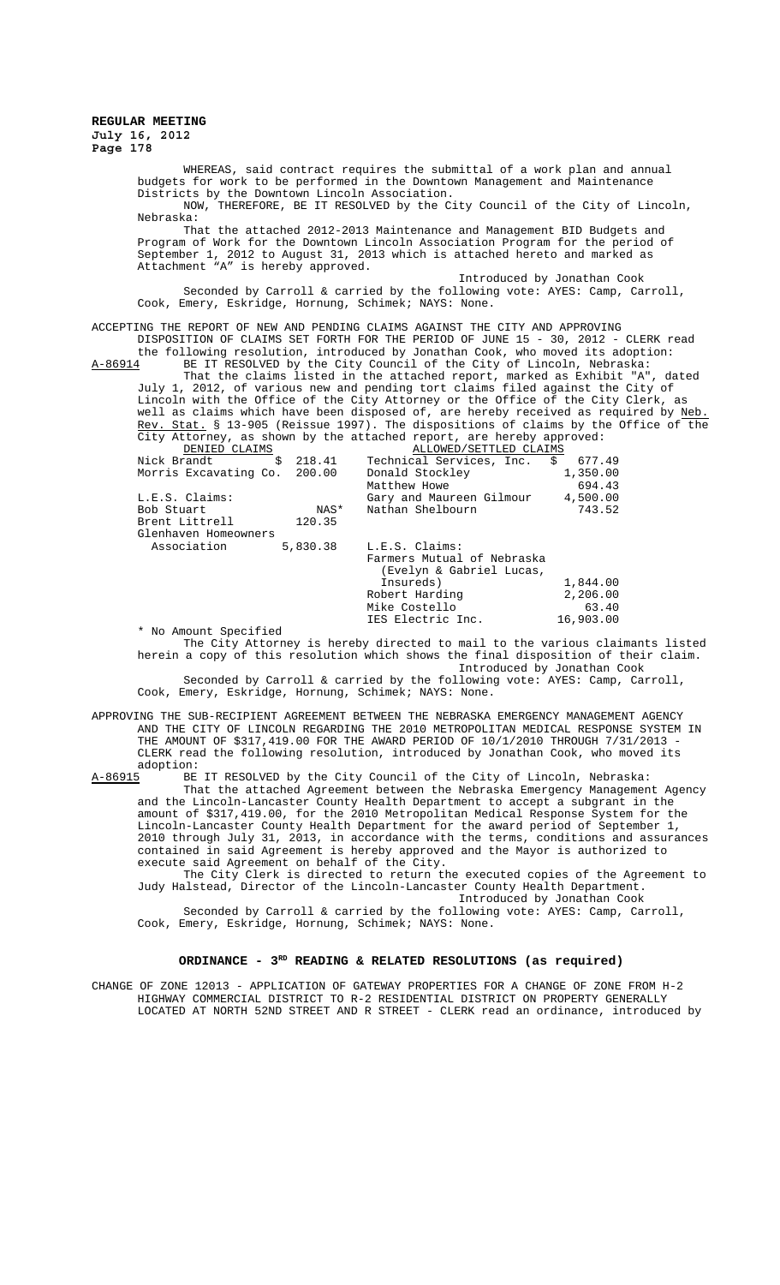WHEREAS, said contract requires the submittal of a work plan and annual budgets for work to be performed in the Downtown Management and Maintenance Districts by the Downtown Lincoln Association. NOW, THEREFORE, BE IT RESOLVED by the City Council of the City of Lincoln, Nebraska: That the attached 2012-2013 Maintenance and Management BID Budgets and Program of Work for the Downtown Lincoln Association Program for the period of September 1, 2012 to August 31, 2013 which is attached hereto and marked as Attachment "A" is hereby approved. Introduced by Jonathan Cook Seconded by Carroll & carried by the following vote: AYES: Camp, Carroll, Cook, Emery, Eskridge, Hornung, Schimek; NAYS: None. ACCEPTING THE REPORT OF NEW AND PENDING CLAIMS AGAINST THE CITY AND APPROVING DISPOSITION OF CLAIMS SET FORTH FOR THE PERIOD OF JUNE 15 - 30, 2012 - CLERK read the following resolution, introduced by Jonathan Cook, who moved its adoption:<br>A-86914 BE IT RESOLVED by the City Council of the City of Lincoln, Nebraska: A-86914 BE IT RESOLVED by the City Council of the City of Lincoln, Nebraska: That the claims listed in the attached report, marked as Exhibit "A", dated July 1, 2012, of various new and pending tort claims filed against the City of Lincoln with the Office of the City Attorney or the Office of the City Clerk, as well as claims which have been disposed of, are hereby received as required by <u>Neb.</u>

|                                     |      | Rev. Stat. § 13-905 (Reissue 1997). The dispositions of claims by the Office of the |           |
|-------------------------------------|------|-------------------------------------------------------------------------------------|-----------|
|                                     |      | City Attorney, as shown by the attached report, are hereby approved:                |           |
| DENIED CLAIMS                       |      | ALLOWED/SETTLED CLAIMS                                                              |           |
| Nick Brandt                         |      | $$218.41$ Technical Services, Inc. $$677.49$                                        |           |
|                                     |      | Morris Excavating Co. 200.00 Donald Stockley                                        | 1,350.00  |
|                                     |      | Matthew Howe                                                                        | 694.43    |
| L.E.S. Claims:                      |      | Gary and Maureen Gilmour 4,500.00                                                   |           |
| Bob Stuart                          | NAS* | Nathan Shelbourn                                                                    | 743.52    |
| Brent Littrell 120.35               |      |                                                                                     |           |
| Glenhaven Homeowners                |      |                                                                                     |           |
| Association 5,830.38 L.E.S. Claims: |      |                                                                                     |           |
|                                     |      | Farmers Mutual of Nebraska                                                          |           |
|                                     |      | (Evelyn & Gabriel Lucas,                                                            |           |
|                                     |      | Insureds)                                                                           | 1,844.00  |
|                                     |      | Robert Harding                                                                      | 2,206.00  |
|                                     |      | Mike Costello                                                                       | 63.40     |
|                                     |      | IES Electric Inc.                                                                   | 16,903.00 |
|                                     |      |                                                                                     |           |

\* No Amount Specified The City Attorney is hereby directed to mail to the various claimants listed herein a copy of this resolution which shows the final disposition of their claim.

Introduced by Jonathan Cook Seconded by Carroll & carried by the following vote: AYES: Camp, Carroll, Cook, Emery, Eskridge, Hornung, Schimek; NAYS: None.

APPROVING THE SUB-RECIPIENT AGREEMENT BETWEEN THE NEBRASKA EMERGENCY MANAGEMENT AGENCY AND THE CITY OF LINCOLN REGARDING THE 2010 METROPOLITAN MEDICAL RESPONSE SYSTEM IN

THE AMOUNT OF \$317,419.00 FOR THE AWARD PERIOD OF 10/1/2010 THROUGH 7/31/2013 - CLERK read the following resolution, introduced by Jonathan Cook, who moved its adoption:<br>A-86915 BE

BE IT RESOLVED by the City Council of the City of Lincoln, Nebraska: That the attached Agreement between the Nebraska Emergency Management Agency and the Lincoln-Lancaster County Health Department to accept a subgrant in the amount of \$317,419.00, for the 2010 Metropolitan Medical Response System for the Lincoln-Lancaster County Health Department for the award period of September 1, 2010 through July 31, 2013, in accordance with the terms, conditions and assurances contained in said Agreement is hereby approved and the Mayor is authorized to execute said Agreement on behalf of the City.

The City Clerk is directed to return the executed copies of the Agreement to Judy Halstead, Director of the Lincoln-Lancaster County Health Department. Introduced by Jonathan Cook

Seconded by Carroll & carried by the following vote: AYES: Camp, Carroll, Cook, Emery, Eskridge, Hornung, Schimek; NAYS: None.

# ORDINANCE -  $3^{RD}$  READING & RELATED RESOLUTIONS (as required)

CHANGE OF ZONE 12013 - APPLICATION OF GATEWAY PROPERTIES FOR A CHANGE OF ZONE FROM H-2 HIGHWAY COMMERCIAL DISTRICT TO R-2 RESIDENTIAL DISTRICT ON PROPERTY GENERALLY LOCATED AT NORTH 52ND STREET AND R STREET - CLERK read an ordinance, introduced by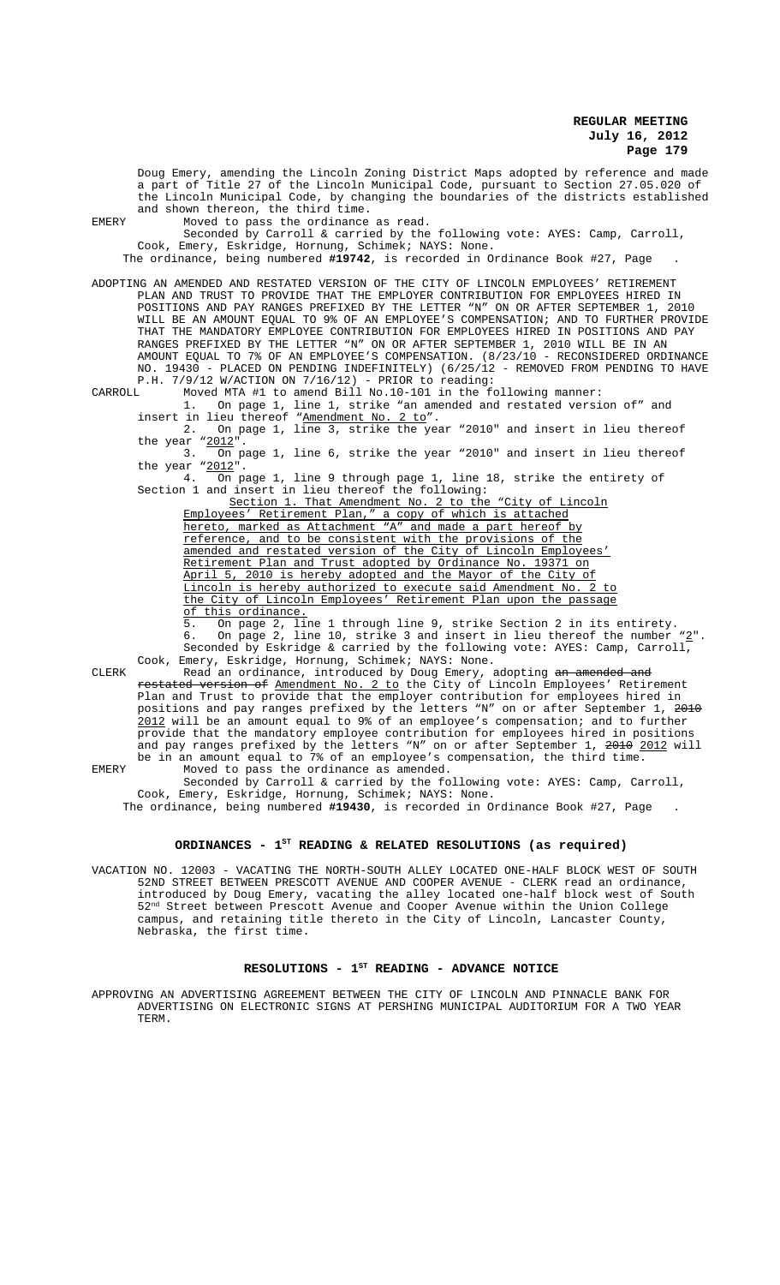Doug Emery, amending the Lincoln Zoning District Maps adopted by reference and made a part of Title 27 of the Lincoln Municipal Code, pursuant to Section 27.05.020 of the Lincoln Municipal Code, by changing the boundaries of the districts established and shown thereon, the third time. EMERY Moved to pass the ordinance as read.

Seconded by Carroll & carried by the following vote: AYES: Camp, Carroll,

Cook, Emery, Eskridge, Hornung, Schimek; NAYS: None. The ordinance, being numbered **#19742**, is recorded in Ordinance Book #27, Page .

ADOPTING AN AMENDED AND RESTATED VERSION OF THE CITY OF LINCOLN EMPLOYEES' RETIREMENT PLAN AND TRUST TO PROVIDE THAT THE EMPLOYER CONTRIBUTION FOR EMPLOYEES HIRED IN POSITIONS AND PAY RANGES PREFIXED BY THE LETTER "N" ON OR AFTER SEPTEMBER 1, 2010 WILL BE AN AMOUNT EQUAL TO 9% OF AN EMPLOYEE'S COMPENSATION; AND TO FURTHER PROVIDE THAT THE MANDATORY EMPLOYEE CONTRIBUTION FOR EMPLOYEES HIRED IN POSITIONS AND PAY RANGES PREFIXED BY THE LETTER "N" ON OR AFTER SEPTEMBER 1, 2010 WILL BE IN AN AMOUNT EQUAL TO 7% OF AN EMPLOYEE'S COMPENSATION. (8/23/10 - RECONSIDERED ORDINANCE NO. 19430 - PLACED ON PENDING INDEFINITELY) (6/25/12 - REMOVED FROM PENDING TO HAVE P.H. 7/9/12 W/ACTION ON 7/16/12) - PRIOR to reading:

CARROLL Moved MTA #1 to amend Bill No.10-101 in the following manner:

1. On page 1, line 1, strike "an amended and restated version of" and insert in lieu thereof "Amendment No. 2 to".

2. On page 1, line 3, strike the year "2010" and insert in lieu thereof the year  $\frac{\text{``}2012}{3}$ .

3. On page 1, line 6, strike the year "2010" and insert in lieu thereof the year  $"2012"$ .

4. On page 1, line 9 through page 1, line 18, strike the entirety of Section 1 and insert in lieu thereof the following:

Section 1. That Amendment No. 2 to the "City of Lincoln Employees' Retirement Plan," a copy of which is attached hereto, marked as Attachment "A" and made a part hereof by reference, and to be consistent with the provisions of the amended and restated version of the City of Lincoln Employees' Retirement Plan and Trust adopted by Ordinance No. 19371 on April 5, 2010 is hereby adopted and the Mayor of the City of Lincoln is hereby authorized to execute said Amendment No. 2 to the City of Lincoln Employees' Retirement Plan upon the passage of this ordinance.

5. On page 2, line 1 through line 9, strike Section 2 in its entirety. 6. On page 2, line 10, strike 3 and insert in lieu thereof the number  $"2"$ . Seconded by Eskridge & carried by the following vote: AYES: Camp, Carroll, Cook, Emery, Eskridge, Hornung, Schimek; NAYS: None.

CLERK Read an ordinance, introduced by Doug Emery, adopting <del>an amended and</del> restated version of Amendment No. 2 to the City of Lincoln Employees' Retirement Plan and Trust to provide that the employer contribution for employees hired in positions and pay ranges prefixed by the letters "N" on or after September 1, 2010 2012 will be an amount equal to 9% of an employee's compensation; and to further provide that the mandatory employee contribution for employees hired in positions and pay ranges prefixed by the letters "N" on or after September 1, <del>2010</del> 2012 will be in an amount equal to 7% of an employee's compensation, the third time. EMERY Moved to pass the ordinance as amended.

Seconded by Carroll & carried by the following vote: AYES: Camp, Carroll, Cook, Emery, Eskridge, Hornung, Schimek; NAYS: None.

The ordinance, being numbered **#19430**, is recorded in Ordinance Book #27, Page .

# ORDINANCES - 1<sup>st</sup> READING & RELATED RESOLUTIONS (as required)

VACATION NO. 12003 - VACATING THE NORTH-SOUTH ALLEY LOCATED ONE-HALF BLOCK WEST OF SOUTH 52ND STREET BETWEEN PRESCOTT AVENUE AND COOPER AVENUE - CLERK read an ordinance, introduced by Doug Emery, vacating the alley located one-half block west of South 52nd Street between Prescott Avenue and Cooper Avenue within the Union College campus, and retaining title thereto in the City of Lincoln, Lancaster County, Nebraska, the first time.

## RESOLUTIONS - 1<sup>st</sup> READING - ADVANCE NOTICE

APPROVING AN ADVERTISING AGREEMENT BETWEEN THE CITY OF LINCOLN AND PINNACLE BANK FOR ADVERTISING ON ELECTRONIC SIGNS AT PERSHING MUNICIPAL AUDITORIUM FOR A TWO YEAR TERM.